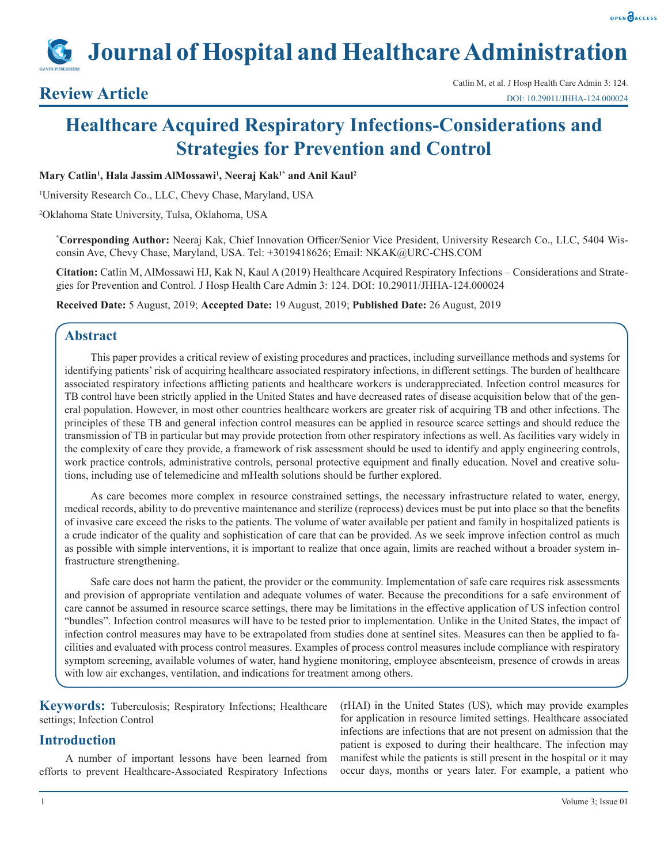# **Journal of Hospital and Healthcare Administration**

## **Healthcare Acquired Respiratory Infections-Considerations and Strategies for Prevention and Control**

#### **Mary Catlin1 , Hala Jassim AlMossawi1 , Neeraj Kak1\* and Anil Kaul2**

1 University Research Co., LLC, Chevy Chase, Maryland, USA

2 Oklahoma State University, Tulsa, Oklahoma, USA

**\* Corresponding Author:** Neeraj Kak, Chief Innovation Officer/Senior Vice President, University Research Co., LLC, 5404 Wisconsin Ave, Chevy Chase, Maryland, USA. Tel: +3019418626; Email: NKAK@URC-CHS.COM

**Citation:** Catlin M, AlMossawi HJ, Kak N, Kaul A (2019) Healthcare Acquired Respiratory Infections – Considerations and Strategies for Prevention and Control. J Hosp Health Care Admin 3: 124. DOI: 10.29011/JHHA-124.000024

**Received Date:** 5 August, 2019; **Accepted Date:** 19 August, 2019; **Published Date:** 26 August, 2019

### **Abstract**

This paper provides a critical review of existing procedures and practices, including surveillance methods and systems for identifying patients' risk of acquiring healthcare associated respiratory infections, in different settings. The burden of healthcare associated respiratory infections afflicting patients and healthcare workers is underappreciated. Infection control measures for TB control have been strictly applied in the United States and have decreased rates of disease acquisition below that of the general population. However, in most other countries healthcare workers are greater risk of acquiring TB and other infections. The principles of these TB and general infection control measures can be applied in resource scarce settings and should reduce the transmission of TB in particular but may provide protection from other respiratory infections as well. As facilities vary widely in the complexity of care they provide, a framework of risk assessment should be used to identify and apply engineering controls, work practice controls, administrative controls, personal protective equipment and finally education. Novel and creative solutions, including use of telemedicine and mHealth solutions should be further explored.

As care becomes more complex in resource constrained settings, the necessary infrastructure related to water, energy, medical records, ability to do preventive maintenance and sterilize (reprocess) devices must be put into place so that the benefits of invasive care exceed the risks to the patients. The volume of water available per patient and family in hospitalized patients is a crude indicator of the quality and sophistication of care that can be provided. As we seek improve infection control as much as possible with simple interventions, it is important to realize that once again, limits are reached without a broader system infrastructure strengthening.

Safe care does not harm the patient, the provider or the community. Implementation of safe care requires risk assessments and provision of appropriate ventilation and adequate volumes of water. Because the preconditions for a safe environment of care cannot be assumed in resource scarce settings, there may be limitations in the effective application of US infection control "bundles". Infection control measures will have to be tested prior to implementation. Unlike in the United States, the impact of infection control measures may have to be extrapolated from studies done at sentinel sites. Measures can then be applied to facilities and evaluated with process control measures. Examples of process control measures include compliance with respiratory symptom screening, available volumes of water, hand hygiene monitoring, employee absenteeism, presence of crowds in areas with low air exchanges, ventilation, and indications for treatment among others.

**Keywords:** Tuberculosis; Respiratory Infections; Healthcare settings; Infection Control

#### **Introduction**

A number of important lessons have been learned from efforts to prevent Healthcare-Associated Respiratory Infections (rHAI) in the United States (US), which may provide examples for application in resource limited settings. Healthcare associated infections are infections that are not present on admission that the patient is exposed to during their healthcare. The infection may manifest while the patients is still present in the hospital or it may occur days, months or years later. For example, a patient who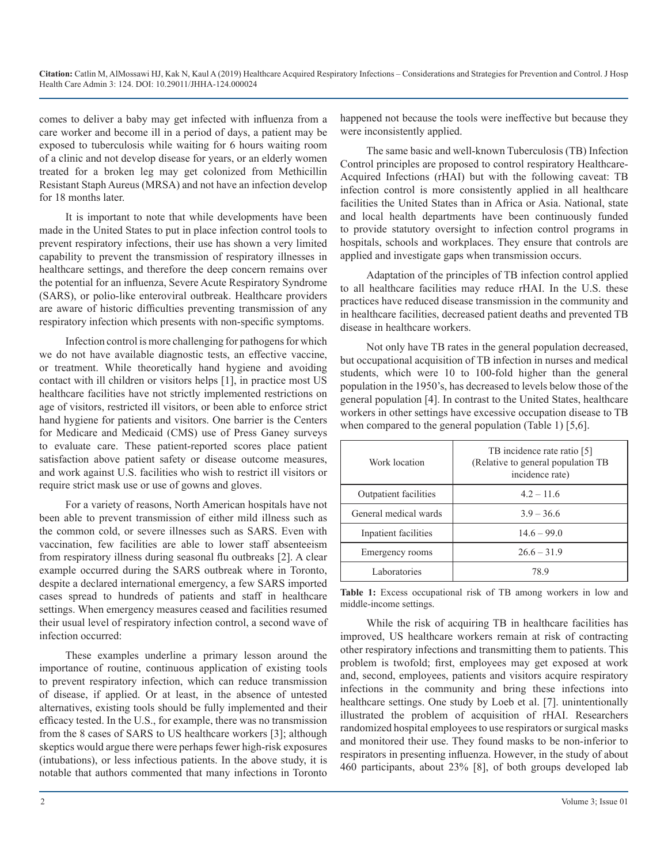comes to deliver a baby may get infected with influenza from a care worker and become ill in a period of days, a patient may be exposed to tuberculosis while waiting for 6 hours waiting room of a clinic and not develop disease for years, or an elderly women treated for a broken leg may get colonized from Methicillin Resistant Staph Aureus (MRSA) and not have an infection develop for 18 months later.

It is important to note that while developments have been made in the United States to put in place infection control tools to prevent respiratory infections, their use has shown a very limited capability to prevent the transmission of respiratory illnesses in healthcare settings, and therefore the deep concern remains over the potential for an influenza, Severe Acute Respiratory Syndrome (SARS), or polio-like enteroviral outbreak. Healthcare providers are aware of historic difficulties preventing transmission of any respiratory infection which presents with non-specific symptoms.

Infection control is more challenging for pathogens for which we do not have available diagnostic tests, an effective vaccine, or treatment. While theoretically hand hygiene and avoiding contact with ill children or visitors helps [1], in practice most US healthcare facilities have not strictly implemented restrictions on age of visitors, restricted ill visitors, or been able to enforce strict hand hygiene for patients and visitors. One barrier is the Centers for Medicare and Medicaid (CMS) use of Press Ganey surveys to evaluate care. These patient-reported scores place patient satisfaction above patient safety or disease outcome measures, and work against U.S. facilities who wish to restrict ill visitors or require strict mask use or use of gowns and gloves.

For a variety of reasons, North American hospitals have not been able to prevent transmission of either mild illness such as the common cold, or severe illnesses such as SARS. Even with vaccination, few facilities are able to lower staff absenteeism from respiratory illness during seasonal flu outbreaks [2]. A clear example occurred during the SARS outbreak where in Toronto, despite a declared international emergency, a few SARS imported cases spread to hundreds of patients and staff in healthcare settings. When emergency measures ceased and facilities resumed their usual level of respiratory infection control, a second wave of infection occurred:

These examples underline a primary lesson around the importance of routine, continuous application of existing tools to prevent respiratory infection, which can reduce transmission of disease, if applied. Or at least, in the absence of untested alternatives, existing tools should be fully implemented and their efficacy tested. In the U.S., for example, there was no transmission from the 8 cases of SARS to US healthcare workers [3]; although skeptics would argue there were perhaps fewer high-risk exposures (intubations), or less infectious patients. In the above study, it is notable that authors commented that many infections in Toronto

happened not because the tools were ineffective but because they were inconsistently applied.

The same basic and well-known Tuberculosis (TB) Infection Control principles are proposed to control respiratory Healthcare-Acquired Infections (rHAI) but with the following caveat: TB infection control is more consistently applied in all healthcare facilities the United States than in Africa or Asia. National, state and local health departments have been continuously funded to provide statutory oversight to infection control programs in hospitals, schools and workplaces. They ensure that controls are applied and investigate gaps when transmission occurs.

Adaptation of the principles of TB infection control applied to all healthcare facilities may reduce rHAI. In the U.S. these practices have reduced disease transmission in the community and in healthcare facilities, decreased patient deaths and prevented TB disease in healthcare workers.

Not only have TB rates in the general population decreased, but occupational acquisition of TB infection in nurses and medical students, which were 10 to 100-fold higher than the general population in the 1950's, has decreased to levels below those of the general population [4]. In contrast to the United States, healthcare workers in other settings have excessive occupation disease to TB when compared to the general population (Table 1) [5,6].

| Work location                | TB incidence rate ratio [5]<br>(Relative to general population TB)<br>incidence rate) |
|------------------------------|---------------------------------------------------------------------------------------|
| <b>Outpatient facilities</b> | $4.2 - 11.6$                                                                          |
| General medical wards        | $3.9 - 36.6$                                                                          |
| Inpatient facilities         | $14.6 - 99.0$                                                                         |
| Emergency rooms              | $26.6 - 31.9$                                                                         |
| Laboratories                 | 789                                                                                   |

**Table 1:** Excess occupational risk of TB among workers in low and middle-income settings.

While the risk of acquiring TB in healthcare facilities has improved, US healthcare workers remain at risk of contracting other respiratory infections and transmitting them to patients. This problem is twofold; first, employees may get exposed at work and, second, employees, patients and visitors acquire respiratory infections in the community and bring these infections into healthcare settings. One study by Loeb et al. [7]. unintentionally illustrated the problem of acquisition of rHAI. Researchers randomized hospital employees to use respirators or surgical masks and monitored their use. They found masks to be non-inferior to respirators in presenting influenza. However, in the study of about 460 participants, about 23% [8], of both groups developed lab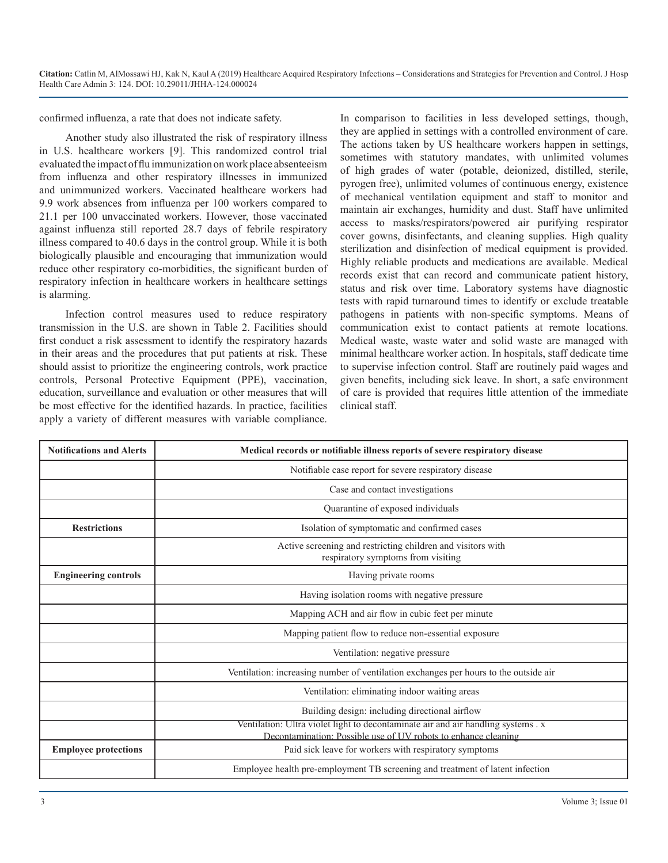confirmed influenza, a rate that does not indicate safety.

Another study also illustrated the risk of respiratory illness in U.S. healthcare workers [9]. This randomized control trial evaluated the impact of flu immunization on work place absenteeism from influenza and other respiratory illnesses in immunized and unimmunized workers. Vaccinated healthcare workers had 9.9 work absences from influenza per 100 workers compared to 21.1 per 100 unvaccinated workers. However, those vaccinated against influenza still reported 28.7 days of febrile respiratory illness compared to 40.6 days in the control group. While it is both biologically plausible and encouraging that immunization would reduce other respiratory co-morbidities, the significant burden of respiratory infection in healthcare workers in healthcare settings is alarming.

Infection control measures used to reduce respiratory transmission in the U.S. are shown in Table 2. Facilities should first conduct a risk assessment to identify the respiratory hazards in their areas and the procedures that put patients at risk. These should assist to prioritize the engineering controls, work practice controls, Personal Protective Equipment (PPE), vaccination, education, surveillance and evaluation or other measures that will be most effective for the identified hazards. In practice, facilities apply a variety of different measures with variable compliance. In comparison to facilities in less developed settings, though, they are applied in settings with a controlled environment of care. The actions taken by US healthcare workers happen in settings, sometimes with statutory mandates, with unlimited volumes of high grades of water (potable, deionized, distilled, sterile, pyrogen free), unlimited volumes of continuous energy, existence of mechanical ventilation equipment and staff to monitor and maintain air exchanges, humidity and dust. Staff have unlimited access to masks/respirators/powered air purifying respirator cover gowns, disinfectants, and cleaning supplies. High quality sterilization and disinfection of medical equipment is provided. Highly reliable products and medications are available. Medical records exist that can record and communicate patient history, status and risk over time. Laboratory systems have diagnostic tests with rapid turnaround times to identify or exclude treatable pathogens in patients with non-specific symptoms. Means of communication exist to contact patients at remote locations. Medical waste, waste water and solid waste are managed with minimal healthcare worker action. In hospitals, staff dedicate time to supervise infection control. Staff are routinely paid wages and given benefits, including sick leave. In short, a safe environment of care is provided that requires little attention of the immediate clinical staff.

| <b>Notifications and Alerts</b> | Medical records or notifiable illness reports of severe respiratory disease                                                                        |
|---------------------------------|----------------------------------------------------------------------------------------------------------------------------------------------------|
|                                 | Notifiable case report for severe respiratory disease                                                                                              |
|                                 | Case and contact investigations                                                                                                                    |
|                                 | Quarantine of exposed individuals                                                                                                                  |
| <b>Restrictions</b>             | Isolation of symptomatic and confirmed cases                                                                                                       |
|                                 | Active screening and restricting children and visitors with<br>respiratory symptoms from visiting                                                  |
| <b>Engineering controls</b>     | Having private rooms                                                                                                                               |
|                                 | Having isolation rooms with negative pressure                                                                                                      |
|                                 | Mapping ACH and air flow in cubic feet per minute                                                                                                  |
|                                 | Mapping patient flow to reduce non-essential exposure                                                                                              |
|                                 | Ventilation: negative pressure                                                                                                                     |
|                                 | Ventilation: increasing number of ventilation exchanges per hours to the outside air                                                               |
|                                 | Ventilation: eliminating indoor waiting areas                                                                                                      |
|                                 | Building design: including directional airflow                                                                                                     |
|                                 | Ventilation: Ultra violet light to decontaminate air and air handling systems. x<br>Decontamination: Possible use of UV robots to enhance cleaning |
| <b>Employee protections</b>     | Paid sick leave for workers with respiratory symptoms                                                                                              |
|                                 | Employee health pre-employment TB screening and treatment of latent infection                                                                      |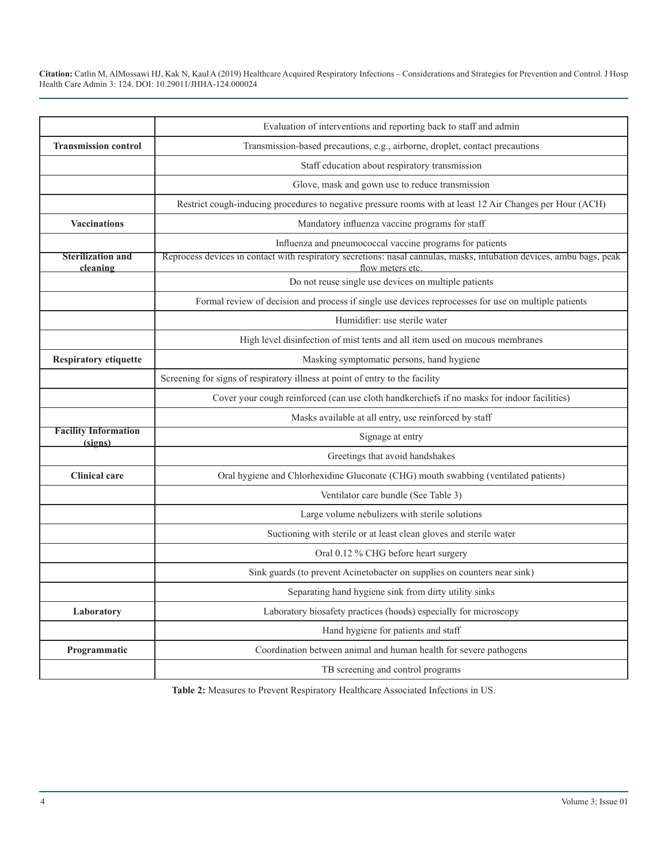|                                        | Evaluation of interventions and reporting back to staff and admin                                                                        |
|----------------------------------------|------------------------------------------------------------------------------------------------------------------------------------------|
| <b>Transmission control</b>            | Transmission-based precautions, e.g., airborne, droplet, contact precautions                                                             |
|                                        | Staff education about respiratory transmission                                                                                           |
|                                        | Glove, mask and gown use to reduce transmission                                                                                          |
|                                        | Restrict cough-inducing procedures to negative pressure rooms with at least 12 Air Changes per Hour (ACH)                                |
| <b>Vaccinations</b>                    | Mandatory influenza vaccine programs for staff                                                                                           |
|                                        | Influenza and pneumococcal vaccine programs for patients                                                                                 |
| <b>Sterilization and</b><br>cleaning   | Reprocess devices in contact with respiratory secretions: nasal cannulas, masks, intubation devices, ambu bags, peak<br>flow meters etc. |
|                                        | Do not reuse single use devices on multiple patients                                                                                     |
|                                        | Formal review of decision and process if single use devices reprocesses for use on multiple patients                                     |
|                                        | Humidifier: use sterile water                                                                                                            |
|                                        | High level disinfection of mist tents and all item used on mucous membranes                                                              |
| <b>Respiratory etiquette</b>           | Masking symptomatic persons, hand hygiene                                                                                                |
|                                        | Screening for signs of respiratory illness at point of entry to the facility                                                             |
|                                        | Cover your cough reinforced (can use cloth handkerchiefs if no masks for indoor facilities)                                              |
|                                        | Masks available at all entry, use reinforced by staff                                                                                    |
| <b>Facility Information</b><br>(signs) | Signage at entry                                                                                                                         |
|                                        | Greetings that avoid handshakes                                                                                                          |
| <b>Clinical care</b>                   | Oral hygiene and Chlorhexidine Gluconate (CHG) mouth swabbing (ventilated patients)                                                      |
|                                        | Ventilator care bundle (See Table 3)                                                                                                     |
|                                        | Large volume nebulizers with sterile solutions                                                                                           |
|                                        | Suctioning with sterile or at least clean gloves and sterile water                                                                       |
|                                        | Oral 0.12 % CHG before heart surgery                                                                                                     |
|                                        | Sink guards (to prevent Acinetobacter on supplies on counters near sink)                                                                 |
|                                        | Separating hand hygiene sink from dirty utility sinks                                                                                    |
| Laboratory                             | Laboratory biosafety practices (hoods) especially for microscopy                                                                         |
|                                        | Hand hygiene for patients and staff                                                                                                      |
| Programmatic                           | Coordination between animal and human health for severe pathogens                                                                        |
|                                        | TB screening and control programs                                                                                                        |

**Table 2:** Measures to Prevent Respiratory Healthcare Associated Infections in US.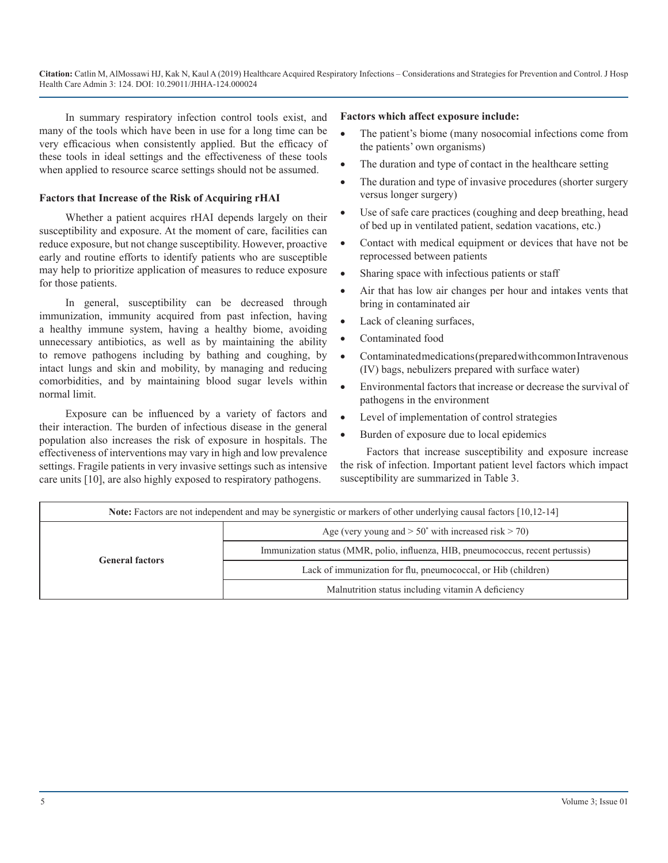In summary respiratory infection control tools exist, and many of the tools which have been in use for a long time can be very efficacious when consistently applied. But the efficacy of these tools in ideal settings and the effectiveness of these tools when applied to resource scarce settings should not be assumed.

#### **Factors that Increase of the Risk of Acquiring rHAI**

Whether a patient acquires rHAI depends largely on their susceptibility and exposure. At the moment of care, facilities can reduce exposure, but not change susceptibility. However, proactive early and routine efforts to identify patients who are susceptible may help to prioritize application of measures to reduce exposure for those patients.

In general, susceptibility can be decreased through immunization, immunity acquired from past infection, having a healthy immune system, having a healthy biome, avoiding unnecessary antibiotics, as well as by maintaining the ability to remove pathogens including by bathing and coughing, by intact lungs and skin and mobility, by managing and reducing comorbidities, and by maintaining blood sugar levels within normal limit.

Exposure can be influenced by a variety of factors and their interaction. The burden of infectious disease in the general population also increases the risk of exposure in hospitals. The effectiveness of interventions may vary in high and low prevalence settings. Fragile patients in very invasive settings such as intensive care units [10], are also highly exposed to respiratory pathogens.

#### **Factors which affect exposure include:**

- The patient's biome (many nosocomial infections come from the patients' own organisms)
- The duration and type of contact in the healthcare setting
- The duration and type of invasive procedures (shorter surgery versus longer surgery)
- Use of safe care practices (coughing and deep breathing, head of bed up in ventilated patient, sedation vacations, etc.)
- Contact with medical equipment or devices that have not be reprocessed between patients
- Sharing space with infectious patients or staff
- Air that has low air changes per hour and intakes vents that bring in contaminated air
- Lack of cleaning surfaces,
- Contaminated food
- Contaminated medications (prepared with common Intravenous (IV) bags, nebulizers prepared with surface water)
- • Environmental factors that increase or decrease the survival of pathogens in the environment
- Level of implementation of control strategies
- Burden of exposure due to local epidemics

Factors that increase susceptibility and exposure increase the risk of infection. Important patient level factors which impact susceptibility are summarized in Table 3.

| <b>Note:</b> Factors are not independent and may be synergistic or markers of other underlying causal factors [10,12-14] |                                                                                  |  |
|--------------------------------------------------------------------------------------------------------------------------|----------------------------------------------------------------------------------|--|
| <b>General factors</b>                                                                                                   | Age (very young and $> 50^{\circ}$ with increased risk $> 70$ )                  |  |
|                                                                                                                          | Immunization status (MMR, polio, influenza, HIB, pneumococcus, recent pertussis) |  |
|                                                                                                                          | Lack of immunization for flu, pneumococcal, or Hib (children)                    |  |
|                                                                                                                          | Malnutrition status including vitamin A deficiency                               |  |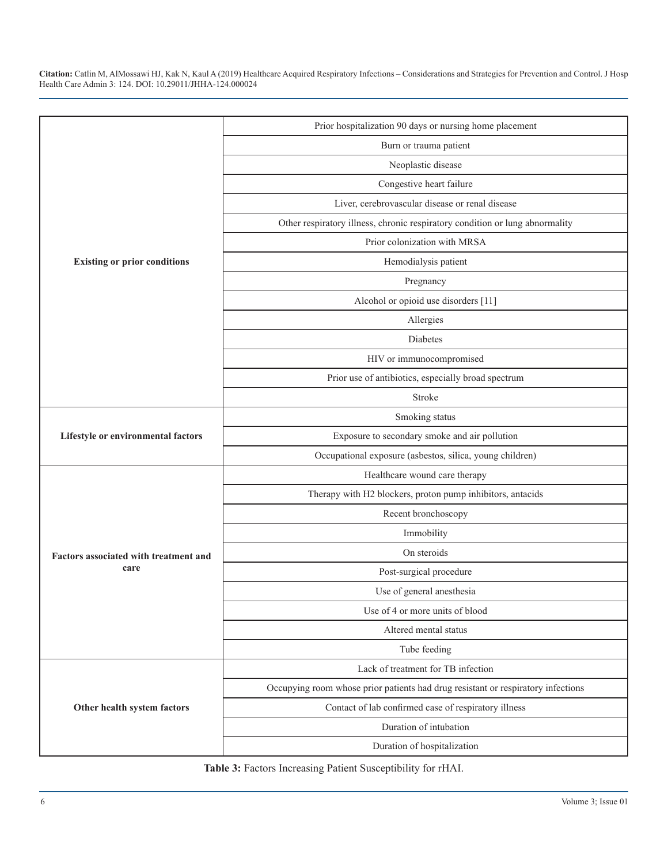| Prior hospitalization 90 days or nursing home placement                             |  |
|-------------------------------------------------------------------------------------|--|
|                                                                                     |  |
| Burn or trauma patient                                                              |  |
| Neoplastic disease                                                                  |  |
| Congestive heart failure                                                            |  |
| Liver, cerebrovascular disease or renal disease                                     |  |
| Other respiratory illness, chronic respiratory condition or lung abnormality        |  |
| Prior colonization with MRSA                                                        |  |
| <b>Existing or prior conditions</b><br>Hemodialysis patient                         |  |
| Pregnancy                                                                           |  |
| Alcohol or opioid use disorders [11]                                                |  |
| Allergies                                                                           |  |
| Diabetes                                                                            |  |
| HIV or immunocompromised                                                            |  |
| Prior use of antibiotics, especially broad spectrum                                 |  |
| Stroke                                                                              |  |
| Smoking status                                                                      |  |
| Lifestyle or environmental factors<br>Exposure to secondary smoke and air pollution |  |
| Occupational exposure (asbestos, silica, young children)                            |  |
| Healthcare wound care therapy                                                       |  |
| Therapy with H2 blockers, proton pump inhibitors, antacids                          |  |
| Recent bronchoscopy                                                                 |  |
| Immobility                                                                          |  |
| On steroids<br>Factors associated with treatment and                                |  |
| care<br>Post-surgical procedure                                                     |  |
| Use of general anesthesia                                                           |  |
| Use of 4 or more units of blood                                                     |  |
| Altered mental status                                                               |  |
| Tube feeding                                                                        |  |
| Lack of treatment for TB infection                                                  |  |
| Occupying room whose prior patients had drug resistant or respiratory infections    |  |
| Contact of lab confirmed case of respiratory illness<br>Other health system factors |  |
| Duration of intubation                                                              |  |
| Duration of hospitalization                                                         |  |

**Table 3:** Factors Increasing Patient Susceptibility for rHAI.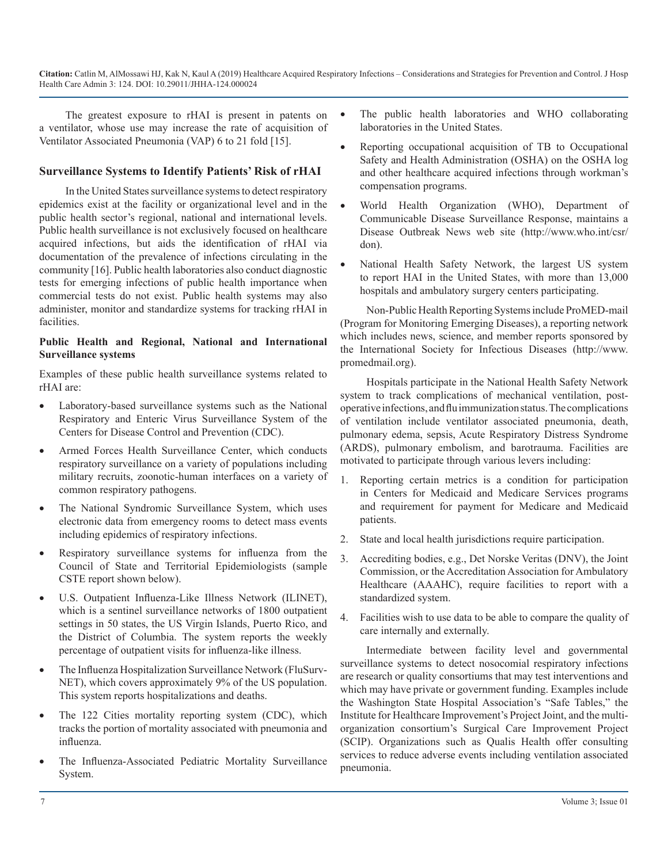The greatest exposure to rHAI is present in patents on a ventilator, whose use may increase the rate of acquisition of Ventilator Associated Pneumonia (VAP) 6 to 21 fold [15].

#### **Surveillance Systems to Identify Patients' Risk of rHAI**

In the United States surveillance systems to detect respiratory epidemics exist at the facility or organizational level and in the public health sector's regional, national and international levels. Public health surveillance is not exclusively focused on healthcare acquired infections, but aids the identification of rHAI via documentation of the prevalence of infections circulating in the community [16]. Public health laboratories also conduct diagnostic tests for emerging infections of public health importance when commercial tests do not exist. Public health systems may also administer, monitor and standardize systems for tracking rHAI in facilities.

#### **Public Health and Regional, National and International Surveillance systems**

Examples of these public health surveillance systems related to rHAI are:

- Laboratory-based surveillance systems such as the National Respiratory and Enteric Virus Surveillance System of the Centers for Disease Control and Prevention (CDC).
- Armed Forces Health Surveillance Center, which conducts respiratory surveillance on a variety of populations including military recruits, zoonotic-human interfaces on a variety of common respiratory pathogens.
- The National Syndromic Surveillance System, which uses electronic data from emergency rooms to detect mass events including epidemics of respiratory infections.
- Respiratory surveillance systems for influenza from the Council of State and Territorial Epidemiologists (sample CSTE report shown below).
- U.S. Outpatient Influenza-Like Illness Network (ILINET), which is a sentinel surveillance networks of 1800 outpatient settings in 50 states, the US Virgin Islands, Puerto Rico, and the District of Columbia. The system reports the weekly percentage of outpatient visits for influenza-like illness.
- The Influenza Hospitalization Surveillance Network (FluSurv-NET), which covers approximately 9% of the US population. This system reports hospitalizations and deaths.
- The 122 Cities mortality reporting system (CDC), which tracks the portion of mortality associated with pneumonia and influenza.
- The Influenza-Associated Pediatric Mortality Surveillance System.
- The public health laboratories and WHO collaborating laboratories in the United States.
- Reporting occupational acquisition of TB to Occupational Safety and Health Administration (OSHA) on the OSHA log and other healthcare acquired infections through workman's compensation programs.
- World Health Organization (WHO), Department of Communicable Disease Surveillance Response, maintains a Disease Outbreak News web site (http://www.who.int/csr/ don).
- National Health Safety Network, the largest US system to report HAI in the United States, with more than 13,000 hospitals and ambulatory surgery centers participating.

Non-Public Health Reporting Systems include ProMED-mail (Program for Monitoring Emerging Diseases), a reporting network which includes news, science, and member reports sponsored by the International Society for Infectious Diseases (http://www. promedmail.org).

Hospitals participate in the National Health Safety Network system to track complications of mechanical ventilation, postoperative infections, and flu immunization status. The complications of ventilation include ventilator associated pneumonia, death, pulmonary edema, sepsis, Acute Respiratory Distress Syndrome (ARDS), pulmonary embolism, and barotrauma. Facilities are motivated to participate through various levers including:

- 1. Reporting certain metrics is a condition for participation in Centers for Medicaid and Medicare Services programs and requirement for payment for Medicare and Medicaid patients.
- 2. State and local health jurisdictions require participation.
- 3. Accrediting bodies, e.g., Det Norske Veritas (DNV), the Joint Commission, or the Accreditation Association for Ambulatory Healthcare (AAAHC), require facilities to report with a standardized system.
- 4. Facilities wish to use data to be able to compare the quality of care internally and externally.

Intermediate between facility level and governmental surveillance systems to detect nosocomial respiratory infections are research or quality consortiums that may test interventions and which may have private or government funding. Examples include the Washington State Hospital Association's "Safe Tables," the Institute for Healthcare Improvement's Project Joint, and the multiorganization consortium's Surgical Care Improvement Project (SCIP). Organizations such as Qualis Health offer consulting services to reduce adverse events including ventilation associated pneumonia.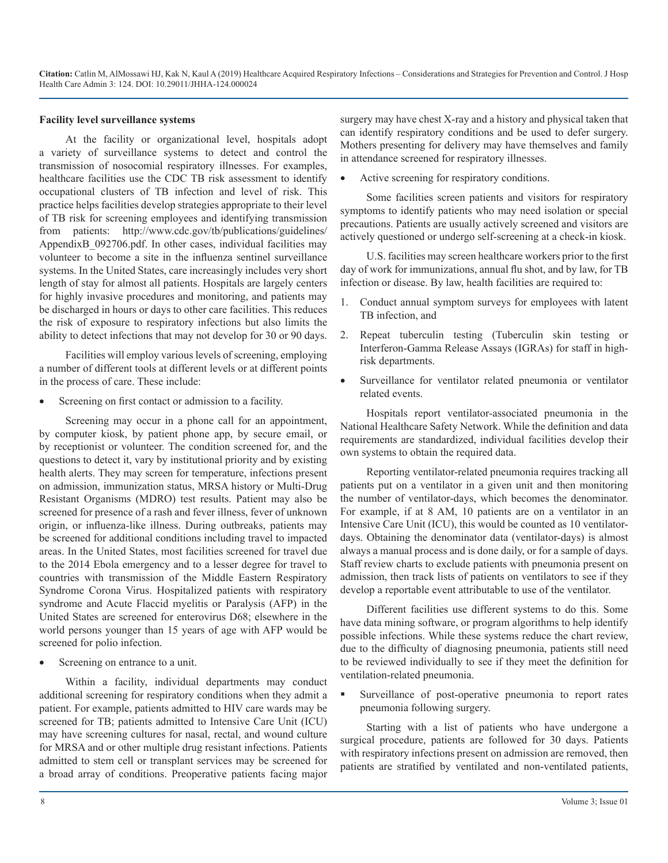#### **Facility level surveillance systems**

At the facility or organizational level, hospitals adopt a variety of surveillance systems to detect and control the transmission of nosocomial respiratory illnesses. For examples, healthcare facilities use the CDC TB risk assessment to identify occupational clusters of TB infection and level of risk. This practice helps facilities develop strategies appropriate to their level of TB risk for screening employees and identifying transmission from patients: [http://www.cdc.gov/tb/publications/guidelines/](http://www.cdc.gov/tb/publications/guidelines/AppendixB_092706.pdf) AppendixB 092706.pdf. In other cases, individual facilities may volunteer to become a site in the influenza sentinel surveillance systems. In the United States, care increasingly includes very short length of stay for almost all patients. Hospitals are largely centers for highly invasive procedures and monitoring, and patients may be discharged in hours or days to other care facilities. This reduces the risk of exposure to respiratory infections but also limits the ability to detect infections that may not develop for 30 or 90 days.

Facilities will employ various levels of screening, employing a number of different tools at different levels or at different points in the process of care. These include:

Screening on first contact or admission to a facility.

Screening may occur in a phone call for an appointment, by computer kiosk, by patient phone app, by secure email, or by receptionist or volunteer. The condition screened for, and the questions to detect it, vary by institutional priority and by existing health alerts. They may screen for temperature, infections present on admission, immunization status, MRSA history or Multi-Drug Resistant Organisms (MDRO) test results. Patient may also be screened for presence of a rash and fever illness, fever of unknown origin, or influenza-like illness. During outbreaks, patients may be screened for additional conditions including travel to impacted areas. In the United States, most facilities screened for travel due to the 2014 Ebola emergency and to a lesser degree for travel to countries with transmission of the Middle Eastern Respiratory Syndrome Corona Virus. Hospitalized patients with respiratory syndrome and Acute Flaccid myelitis or Paralysis (AFP) in the United States are screened for enterovirus D68; elsewhere in the world persons younger than 15 years of age with AFP would be screened for polio infection.

• Screening on entrance to a unit.

Within a facility, individual departments may conduct additional screening for respiratory conditions when they admit a patient. For example, patients admitted to HIV care wards may be screened for TB; patients admitted to Intensive Care Unit (ICU) may have screening cultures for nasal, rectal, and wound culture for MRSA and or other multiple drug resistant infections. Patients admitted to stem cell or transplant services may be screened for a broad array of conditions. Preoperative patients facing major

surgery may have chest X-ray and a history and physical taken that can identify respiratory conditions and be used to defer surgery. Mothers presenting for delivery may have themselves and family in attendance screened for respiratory illnesses.

• Active screening for respiratory conditions.

Some facilities screen patients and visitors for respiratory symptoms to identify patients who may need isolation or special precautions. Patients are usually actively screened and visitors are actively questioned or undergo self-screening at a check-in kiosk.

U.S. facilities may screen healthcare workers prior to the first day of work for immunizations, annual flu shot, and by law, for TB infection or disease. By law, health facilities are required to:

- 1. Conduct annual symptom surveys for employees with latent TB infection, and
- 2. Repeat tuberculin testing (Tuberculin skin testing or Interferon-Gamma Release Assays (IGRAs) for staff in highrisk departments.
- Surveillance for ventilator related pneumonia or ventilator related events.

Hospitals report ventilator-associated pneumonia in the National Healthcare Safety Network. While the definition and data requirements are standardized, individual facilities develop their own systems to obtain the required data.

Reporting ventilator-related pneumonia requires tracking all patients put on a ventilator in a given unit and then monitoring the number of ventilator-days, which becomes the denominator. For example, if at 8 AM, 10 patients are on a ventilator in an Intensive Care Unit (ICU), this would be counted as 10 ventilatordays. Obtaining the denominator data (ventilator-days) is almost always a manual process and is done daily, or for a sample of days. Staff review charts to exclude patients with pneumonia present on admission, then track lists of patients on ventilators to see if they develop a reportable event attributable to use of the ventilator.

Different facilities use different systems to do this. Some have data mining software, or program algorithms to help identify possible infections. While these systems reduce the chart review, due to the difficulty of diagnosing pneumonia, patients still need to be reviewed individually to see if they meet the definition for ventilation-related pneumonia.

 Surveillance of post-operative pneumonia to report rates pneumonia following surgery.

Starting with a list of patients who have undergone a surgical procedure, patients are followed for 30 days. Patients with respiratory infections present on admission are removed, then patients are stratified by ventilated and non-ventilated patients,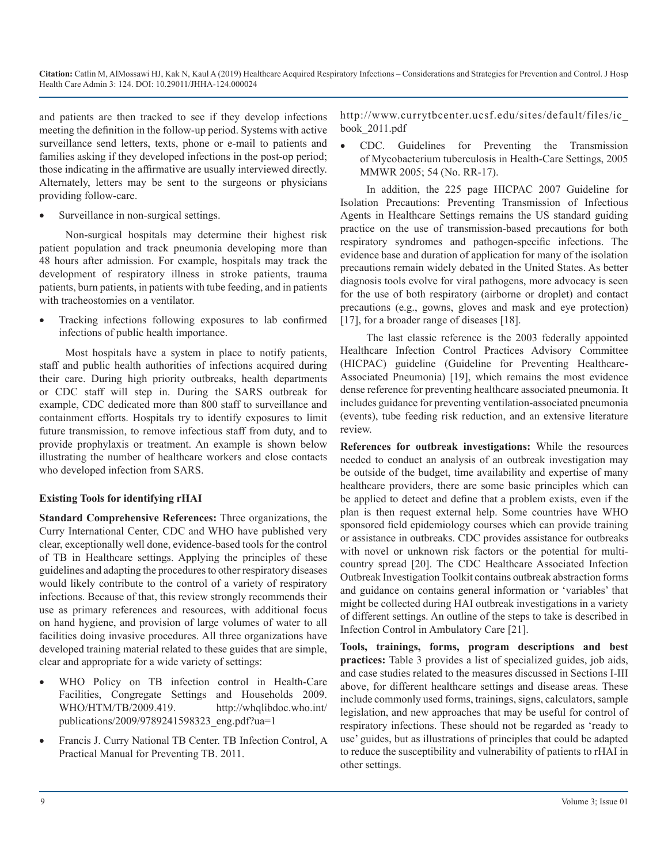and patients are then tracked to see if they develop infections meeting the definition in the follow-up period. Systems with active surveillance send letters, texts, phone or e-mail to patients and families asking if they developed infections in the post-op period; those indicating in the affirmative are usually interviewed directly. Alternately, letters may be sent to the surgeons or physicians providing follow-care.

Surveillance in non-surgical settings.

Non-surgical hospitals may determine their highest risk patient population and track pneumonia developing more than 48 hours after admission. For example, hospitals may track the development of respiratory illness in stroke patients, trauma patients, burn patients, in patients with tube feeding, and in patients with tracheostomies on a ventilator.

Tracking infections following exposures to lab confirmed infections of public health importance.

Most hospitals have a system in place to notify patients, staff and public health authorities of infections acquired during their care. During high priority outbreaks, health departments or CDC staff will step in. During the SARS outbreak for example, CDC dedicated more than 800 staff to surveillance and containment efforts. Hospitals try to identify exposures to limit future transmission, to remove infectious staff from duty, and to provide prophylaxis or treatment. An example is shown below illustrating the number of healthcare workers and close contacts who developed infection from SARS.

#### **Existing Tools for identifying rHAI**

**Standard Comprehensive References:** Three organizations, the Curry International Center, CDC and WHO have published very clear, exceptionally well done, evidence-based tools for the control of TB in Healthcare settings. Applying the principles of these guidelines and adapting the procedures to other respiratory diseases would likely contribute to the control of a variety of respiratory infections. Because of that, this review strongly recommends their use as primary references and resources, with additional focus on hand hygiene, and provision of large volumes of water to all facilities doing invasive procedures. All three organizations have developed training material related to these guides that are simple, clear and appropriate for a wide variety of settings:

- WHO Policy on TB infection control in Health-Care Facilities, Congregate Settings and Households 2009. WHO/HTM/TB/2009.419. [http://whqlibdoc.who.int/](http://whqlibdoc.who.int/publications/2009/9789241598323_eng.pdf?ua=1) [publications/2009/9789241598323\\_eng.pdf?ua=](http://whqlibdoc.who.int/publications/2009/9789241598323_eng.pdf?ua=1)1
- Francis J. Curry National TB Center. TB Infection Control, A Practical Manual for Preventing TB. 2011.

http://www.currytbcenter.ucsf.edu/sites/default/files/ic\_ book\_2011.pdf

• CDC. Guidelines for Preventing the Transmission of Mycobacterium tuberculosis in Health-Care Settings, 2005 MMWR 2005; 54 (No. RR-17).

In addition, the 225 page HICPAC 2007 Guideline for Isolation Precautions: Preventing Transmission of Infectious Agents in Healthcare Settings remains the US standard guiding practice on the use of transmission-based precautions for both respiratory syndromes and pathogen-specific infections. The evidence base and duration of application for many of the isolation precautions remain widely debated in the United States. As better diagnosis tools evolve for viral pathogens, more advocacy is seen for the use of both respiratory (airborne or droplet) and contact precautions (e.g., gowns, gloves and mask and eye protection) [17], for a broader range of diseases [18].

The last classic reference is the 2003 federally appointed Healthcare Infection Control Practices Advisory Committee (HICPAC) guideline (Guideline for Preventing Healthcare-Associated Pneumonia) [19], which remains the most evidence dense reference for preventing healthcare associated pneumonia. It includes guidance for preventing ventilation-associated pneumonia (events), tube feeding risk reduction, and an extensive literature review.

**References for outbreak investigations:** While the resources needed to conduct an analysis of an outbreak investigation may be outside of the budget, time availability and expertise of many healthcare providers, there are some basic principles which can be applied to detect and define that a problem exists, even if the plan is then request external help. Some countries have WHO sponsored field epidemiology courses which can provide training or assistance in outbreaks. CDC provides assistance for outbreaks with novel or unknown risk factors or the potential for multicountry spread [20]. The CDC Healthcare Associated Infection Outbreak Investigation Toolkit contains outbreak abstraction forms and guidance on contains general information or 'variables' that might be collected during HAI outbreak investigations in a variety of different settings. An outline of the steps to take is described in Infection Control in Ambulatory Care [21].

**Tools, trainings, forms, program descriptions and best practices:** Table 3 provides a list of specialized guides, job aids, and case studies related to the measures discussed in Sections I-III above, for different healthcare settings and disease areas. These include commonly used forms, trainings, signs, calculators, sample legislation, and new approaches that may be useful for control of respiratory infections. These should not be regarded as 'ready to use' guides, but as illustrations of principles that could be adapted to reduce the susceptibility and vulnerability of patients to rHAI in other settings.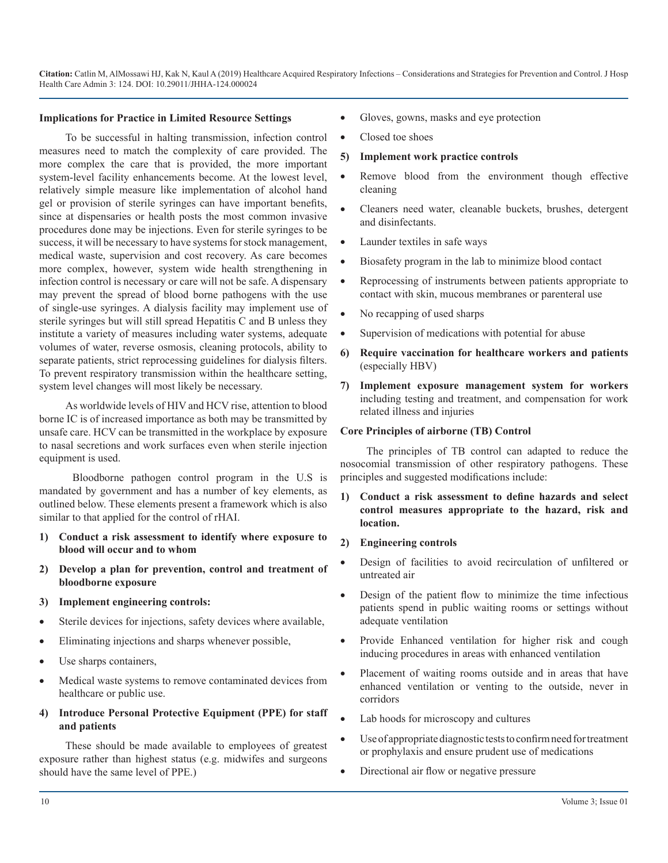#### **Implications for Practice in Limited Resource Settings**

To be successful in halting transmission, infection control measures need to match the complexity of care provided. The more complex the care that is provided, the more important system-level facility enhancements become. At the lowest level, relatively simple measure like implementation of alcohol hand gel or provision of sterile syringes can have important benefits, since at dispensaries or health posts the most common invasive procedures done may be injections. Even for sterile syringes to be success, it will be necessary to have systems for stock management, medical waste, supervision and cost recovery. As care becomes more complex, however, system wide health strengthening in infection control is necessary or care will not be safe. A dispensary may prevent the spread of blood borne pathogens with the use of single-use syringes. A dialysis facility may implement use of sterile syringes but will still spread Hepatitis C and B unless they institute a variety of measures including water systems, adequate volumes of water, reverse osmosis, cleaning protocols, ability to separate patients, strict reprocessing guidelines for dialysis filters. To prevent respiratory transmission within the healthcare setting, system level changes will most likely be necessary.

As worldwide levels of HIV and HCV rise, attention to blood borne IC is of increased importance as both may be transmitted by unsafe care. HCV can be transmitted in the workplace by exposure to nasal secretions and work surfaces even when sterile injection equipment is used.

 Bloodborne pathogen control program in the U.S is mandated by government and has a number of key elements, as outlined below. These elements present a framework which is also similar to that applied for the control of rHAI.

- **1) Conduct a risk assessment to identify where exposure to blood will occur and to whom**
- **2) Develop a plan for prevention, control and treatment of bloodborne exposure**
- **3) Implement engineering controls:**
- Sterile devices for injections, safety devices where available,
- Eliminating injections and sharps whenever possible,
- Use sharps containers,
- Medical waste systems to remove contaminated devices from healthcare or public use.
- **4) Introduce Personal Protective Equipment (PPE) for staff and patients**

These should be made available to employees of greatest exposure rather than highest status (e.g. midwifes and surgeons should have the same level of PPE.)

- Gloves, gowns, masks and eye protection
- Closed toe shoes
- **5) Implement work practice controls**
- Remove blood from the environment though effective cleaning
- Cleaners need water, cleanable buckets, brushes, detergent and disinfectants.
- Launder textiles in safe ways
- Biosafety program in the lab to minimize blood contact
- Reprocessing of instruments between patients appropriate to contact with skin, mucous membranes or parenteral use
- No recapping of used sharps
- Supervision of medications with potential for abuse
- **6) Require vaccination for healthcare workers and patients**  (especially HBV)
- **7) Implement exposure management system for workers** including testing and treatment, and compensation for work related illness and injuries

#### **Core Principles of airborne (TB) Control**

The principles of TB control can adapted to reduce the nosocomial transmission of other respiratory pathogens. These principles and suggested modifications include:

- **1) Conduct a risk assessment to define hazards and select control measures appropriate to the hazard, risk and location.**
- **2) Engineering controls**
- Design of facilities to avoid recirculation of unfiltered or untreated air
- Design of the patient flow to minimize the time infectious patients spend in public waiting rooms or settings without adequate ventilation
- • Provide Enhanced ventilation for higher risk and cough inducing procedures in areas with enhanced ventilation
- Placement of waiting rooms outside and in areas that have enhanced ventilation or venting to the outside, never in corridors
- Lab hoods for microscopy and cultures
- Use of appropriate diagnostic tests to confirm need for treatment or prophylaxis and ensure prudent use of medications
- Directional air flow or negative pressure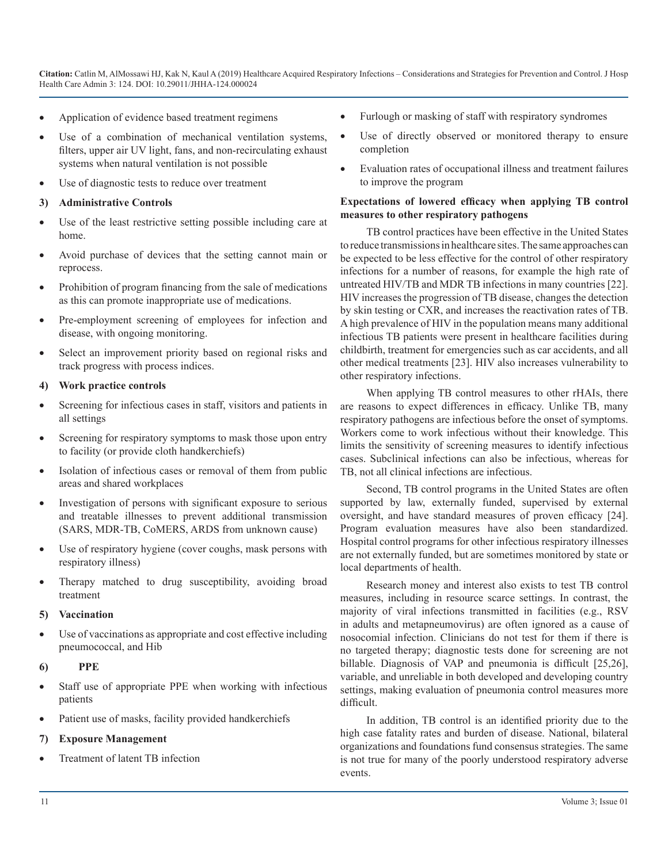- Application of evidence based treatment regimens
- Use of a combination of mechanical ventilation systems, filters, upper air UV light, fans, and non-recirculating exhaust systems when natural ventilation is not possible
- Use of diagnostic tests to reduce over treatment
- **3) Administrative Controls**
- Use of the least restrictive setting possible including care at home.
- Avoid purchase of devices that the setting cannot main or reprocess.
- Prohibition of program financing from the sale of medications as this can promote inappropriate use of medications.
- Pre-employment screening of employees for infection and disease, with ongoing monitoring.
- Select an improvement priority based on regional risks and track progress with process indices.

#### **4) Work practice controls**

- Screening for infectious cases in staff, visitors and patients in all settings
- Screening for respiratory symptoms to mask those upon entry to facility (or provide cloth handkerchiefs)
- Isolation of infectious cases or removal of them from public areas and shared workplaces
- Investigation of persons with significant exposure to serious and treatable illnesses to prevent additional transmission (SARS, MDR-TB, CoMERS, ARDS from unknown cause)
- Use of respiratory hygiene (cover coughs, mask persons with respiratory illness)
- Therapy matched to drug susceptibility, avoiding broad treatment

#### **5) Vaccination**

- Use of vaccinations as appropriate and cost effective including pneumococcal, and Hib
- **6) PPE**
- Staff use of appropriate PPE when working with infectious patients
- Patient use of masks, facility provided handkerchiefs
- **7) Exposure Management**
- Treatment of latent TB infection
- Furlough or masking of staff with respiratory syndromes
- Use of directly observed or monitored therapy to ensure completion
- Evaluation rates of occupational illness and treatment failures to improve the program

#### **Expectations of lowered efficacy when applying TB control measures to other respiratory pathogens**

TB control practices have been effective in the United States to reduce transmissions in healthcare sites. The same approaches can be expected to be less effective for the control of other respiratory infections for a number of reasons, for example the high rate of untreated HIV/TB and MDR TB infections in many countries [22]. HIV increases the progression of TB disease, changes the detection by skin testing or CXR, and increases the reactivation rates of TB. A high prevalence of HIV in the population means many additional infectious TB patients were present in healthcare facilities during childbirth, treatment for emergencies such as car accidents, and all other medical treatments [23]. HIV also increases vulnerability to other respiratory infections.

When applying TB control measures to other rHAIs, there are reasons to expect differences in efficacy. Unlike TB, many respiratory pathogens are infectious before the onset of symptoms. Workers come to work infectious without their knowledge. This limits the sensitivity of screening measures to identify infectious cases. Subclinical infections can also be infectious, whereas for TB, not all clinical infections are infectious.

Second, TB control programs in the United States are often supported by law, externally funded, supervised by external oversight, and have standard measures of proven efficacy [24]. Program evaluation measures have also been standardized. Hospital control programs for other infectious respiratory illnesses are not externally funded, but are sometimes monitored by state or local departments of health.

Research money and interest also exists to test TB control measures, including in resource scarce settings. In contrast, the majority of viral infections transmitted in facilities (e.g., RSV in adults and metapneumovirus) are often ignored as a cause of nosocomial infection. Clinicians do not test for them if there is no targeted therapy; diagnostic tests done for screening are not billable. Diagnosis of VAP and pneumonia is difficult [25,26], variable, and unreliable in both developed and developing country settings, making evaluation of pneumonia control measures more difficult.

In addition, TB control is an identified priority due to the high case fatality rates and burden of disease. National, bilateral organizations and foundations fund consensus strategies. The same is not true for many of the poorly understood respiratory adverse events.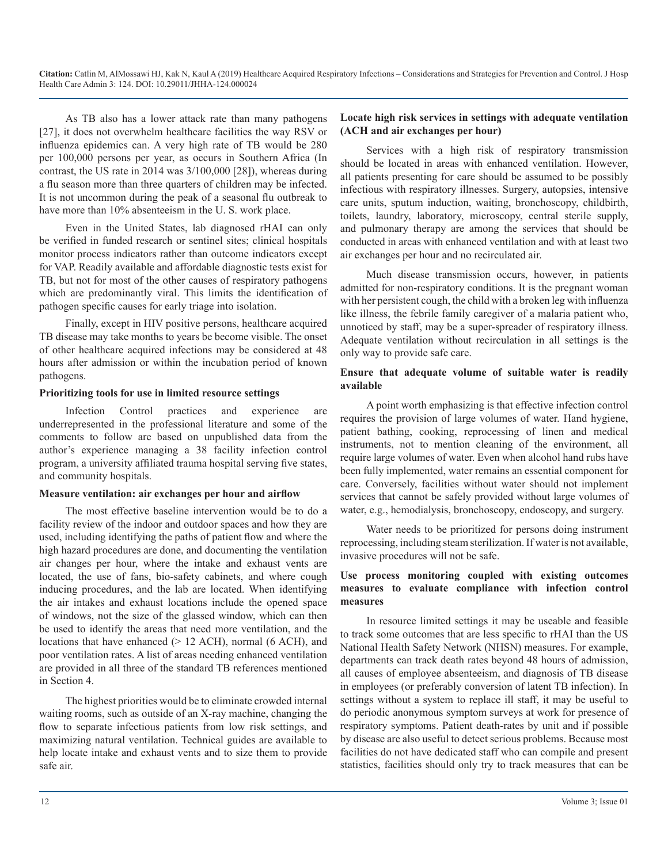As TB also has a lower attack rate than many pathogens [27], it does not overwhelm healthcare facilities the way RSV or influenza epidemics can. A very high rate of TB would be 280 per 100,000 persons per year, as occurs in Southern Africa (In contrast, the US rate in 2014 was 3/100,000 [28]), whereas during a flu season more than three quarters of children may be infected. It is not uncommon during the peak of a seasonal flu outbreak to have more than  $10\%$  absenteeism in the U.S. work place.

Even in the United States, lab diagnosed rHAI can only be verified in funded research or sentinel sites; clinical hospitals monitor process indicators rather than outcome indicators except for VAP. Readily available and affordable diagnostic tests exist for TB, but not for most of the other causes of respiratory pathogens which are predominantly viral. This limits the identification of pathogen specific causes for early triage into isolation.

Finally, except in HIV positive persons, healthcare acquired TB disease may take months to years be become visible. The onset of other healthcare acquired infections may be considered at 48 hours after admission or within the incubation period of known pathogens.

#### **Prioritizing tools for use in limited resource settings**

Infection Control practices and experience are underrepresented in the professional literature and some of the comments to follow are based on unpublished data from the author's experience managing a 38 facility infection control program, a university affiliated trauma hospital serving five states, and community hospitals.

#### **Measure ventilation: air exchanges per hour and airflow**

The most effective baseline intervention would be to do a facility review of the indoor and outdoor spaces and how they are used, including identifying the paths of patient flow and where the high hazard procedures are done, and documenting the ventilation air changes per hour, where the intake and exhaust vents are located, the use of fans, bio-safety cabinets, and where cough inducing procedures, and the lab are located. When identifying the air intakes and exhaust locations include the opened space of windows, not the size of the glassed window, which can then be used to identify the areas that need more ventilation, and the locations that have enhanced ( $> 12$  ACH), normal (6 ACH), and poor ventilation rates. A list of areas needing enhanced ventilation are provided in all three of the standard TB references mentioned in Section 4.

The highest priorities would be to eliminate crowded internal waiting rooms, such as outside of an X-ray machine, changing the flow to separate infectious patients from low risk settings, and maximizing natural ventilation. Technical guides are available to help locate intake and exhaust vents and to size them to provide safe air.

#### **Locate high risk services in settings with adequate ventilation (ACH and air exchanges per hour)**

Services with a high risk of respiratory transmission should be located in areas with enhanced ventilation. However, all patients presenting for care should be assumed to be possibly infectious with respiratory illnesses. Surgery, autopsies, intensive care units, sputum induction, waiting, bronchoscopy, childbirth, toilets, laundry, laboratory, microscopy, central sterile supply, and pulmonary therapy are among the services that should be conducted in areas with enhanced ventilation and with at least two air exchanges per hour and no recirculated air.

Much disease transmission occurs, however, in patients admitted for non-respiratory conditions. It is the pregnant woman with her persistent cough, the child with a broken leg with influenza like illness, the febrile family caregiver of a malaria patient who, unnoticed by staff, may be a super-spreader of respiratory illness. Adequate ventilation without recirculation in all settings is the only way to provide safe care.

#### **Ensure that adequate volume of suitable water is readily available**

A point worth emphasizing is that effective infection control requires the provision of large volumes of water. Hand hygiene, patient bathing, cooking, reprocessing of linen and medical instruments, not to mention cleaning of the environment, all require large volumes of water. Even when alcohol hand rubs have been fully implemented, water remains an essential component for care. Conversely, facilities without water should not implement services that cannot be safely provided without large volumes of water, e.g., hemodialysis, bronchoscopy, endoscopy, and surgery.

Water needs to be prioritized for persons doing instrument reprocessing, including steam sterilization. If water is not available, invasive procedures will not be safe.

#### **Use process monitoring coupled with existing outcomes measures to evaluate compliance with infection control measures**

In resource limited settings it may be useable and feasible to track some outcomes that are less specific to rHAI than the US National Health Safety Network (NHSN) measures. For example, departments can track death rates beyond 48 hours of admission, all causes of employee absenteeism, and diagnosis of TB disease in employees (or preferably conversion of latent TB infection). In settings without a system to replace ill staff, it may be useful to do periodic anonymous symptom surveys at work for presence of respiratory symptoms. Patient death-rates by unit and if possible by disease are also useful to detect serious problems. Because most facilities do not have dedicated staff who can compile and present statistics, facilities should only try to track measures that can be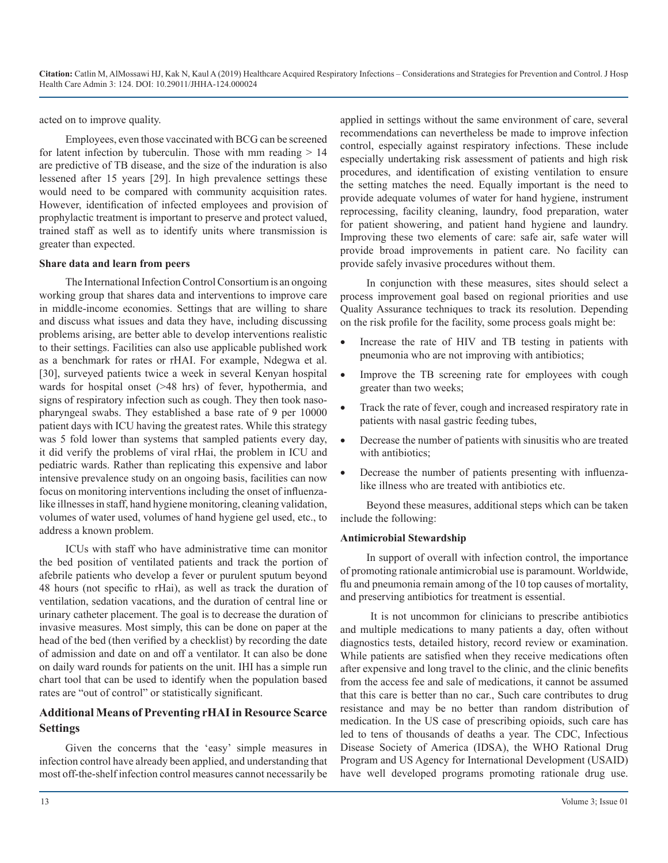acted on to improve quality.

Employees, even those vaccinated with BCG can be screened for latent infection by tuberculin. Those with mm reading  $> 14$ are predictive of TB disease, and the size of the induration is also lessened after 15 years [29]. In high prevalence settings these would need to be compared with community acquisition rates. However, identification of infected employees and provision of prophylactic treatment is important to preserve and protect valued, trained staff as well as to identify units where transmission is greater than expected.

#### **Share data and learn from peers**

The International Infection Control Consortium is an ongoing working group that shares data and interventions to improve care in middle-income economies. Settings that are willing to share and discuss what issues and data they have, including discussing problems arising, are better able to develop interventions realistic to their settings. Facilities can also use applicable published work as a benchmark for rates or rHAI. For example, Ndegwa et al. [30], surveyed patients twice a week in several Kenyan hospital wards for hospital onset (>48 hrs) of fever, hypothermia, and signs of respiratory infection such as cough. They then took nasopharyngeal swabs. They established a base rate of 9 per 10000 patient days with ICU having the greatest rates. While this strategy was 5 fold lower than systems that sampled patients every day, it did verify the problems of viral rHai, the problem in ICU and pediatric wards. Rather than replicating this expensive and labor intensive prevalence study on an ongoing basis, facilities can now focus on monitoring interventions including the onset of influenzalike illnesses in staff, hand hygiene monitoring, cleaning validation, volumes of water used, volumes of hand hygiene gel used, etc., to address a known problem.

ICUs with staff who have administrative time can monitor the bed position of ventilated patients and track the portion of afebrile patients who develop a fever or purulent sputum beyond 48 hours (not specific to rHai), as well as track the duration of ventilation, sedation vacations, and the duration of central line or urinary catheter placement. The goal is to decrease the duration of invasive measures. Most simply, this can be done on paper at the head of the bed (then verified by a checklist) by recording the date of admission and date on and off a ventilator. It can also be done on daily ward rounds for patients on the unit. IHI has a simple run chart tool that can be used to identify when the population based rates are "out of control" or statistically significant.

#### **Additional Means of Preventing rHAI in Resource Scarce Settings**

Given the concerns that the 'easy' simple measures in infection control have already been applied, and understanding that most off-the-shelf infection control measures cannot necessarily be applied in settings without the same environment of care, several recommendations can nevertheless be made to improve infection control, especially against respiratory infections. These include especially undertaking risk assessment of patients and high risk procedures, and identification of existing ventilation to ensure the setting matches the need. Equally important is the need to provide adequate volumes of water for hand hygiene, instrument reprocessing, facility cleaning, laundry, food preparation, water for patient showering, and patient hand hygiene and laundry. Improving these two elements of care: safe air, safe water will provide broad improvements in patient care. No facility can provide safely invasive procedures without them.

In conjunction with these measures, sites should select a process improvement goal based on regional priorities and use Quality Assurance techniques to track its resolution. Depending on the risk profile for the facility, some process goals might be:

- Increase the rate of HIV and TB testing in patients with pneumonia who are not improving with antibiotics;
- Improve the TB screening rate for employees with cough greater than two weeks;
- Track the rate of fever, cough and increased respiratory rate in patients with nasal gastric feeding tubes,
- Decrease the number of patients with sinusitis who are treated with antibiotics:
- Decrease the number of patients presenting with influenzalike illness who are treated with antibiotics etc.

Beyond these measures, additional steps which can be taken include the following:

#### **Antimicrobial Stewardship**

In support of overall with infection control, the importance of promoting rationale antimicrobial use is paramount. Worldwide, flu and pneumonia remain among of the 10 top causes of mortality, and preserving antibiotics for treatment is essential.

 It is not uncommon for clinicians to prescribe antibiotics and multiple medications to many patients a day, often without diagnostics tests, detailed history, record review or examination. While patients are satisfied when they receive medications often after expensive and long travel to the clinic, and the clinic benefits from the access fee and sale of medications, it cannot be assumed that this care is better than no car., Such care contributes to drug resistance and may be no better than random distribution of medication. In the US case of prescribing opioids, such care has led to tens of thousands of deaths a year. The CDC, Infectious Disease Society of America (IDSA), the WHO Rational Drug Program and US Agency for International Development (USAID) have well developed programs promoting rationale drug use.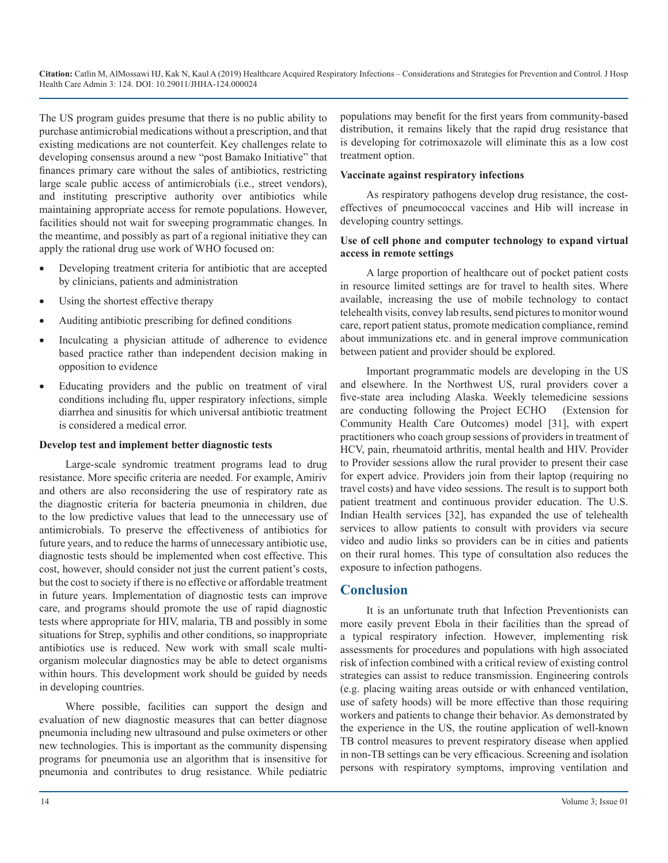The US program guides presume that there is no public ability to purchase antimicrobial medications without a prescription, and that existing medications are not counterfeit. Key challenges relate to developing consensus around a new "post Bamako Initiative" that finances primary care without the sales of antibiotics, restricting large scale public access of antimicrobials (i.e., street vendors), and instituting prescriptive authority over antibiotics while maintaining appropriate access for remote populations. However, facilities should not wait for sweeping programmatic changes. In the meantime, and possibly as part of a regional initiative they can apply the rational drug use work of WHO focused on:

- Developing treatment criteria for antibiotic that are accepted by clinicians, patients and administration
- Using the shortest effective therapy
- Auditing antibiotic prescribing for defined conditions
- Inculcating a physician attitude of adherence to evidence based practice rather than independent decision making in opposition to evidence
- Educating providers and the public on treatment of viral conditions including flu, upper respiratory infections, simple diarrhea and sinusitis for which universal antibiotic treatment is considered a medical error.

#### **Develop test and implement better diagnostic tests**

Large-scale syndromic treatment programs lead to drug resistance. More specific criteria are needed. For example, Amiriv and others are also reconsidering the use of respiratory rate as the diagnostic criteria for bacteria pneumonia in children, due to the low predictive values that lead to the unnecessary use of antimicrobials. To preserve the effectiveness of antibiotics for future years, and to reduce the harms of unnecessary antibiotic use, diagnostic tests should be implemented when cost effective. This cost, however, should consider not just the current patient's costs, but the cost to society if there is no effective or affordable treatment in future years. Implementation of diagnostic tests can improve care, and programs should promote the use of rapid diagnostic tests where appropriate for HIV, malaria, TB and possibly in some situations for Strep, syphilis and other conditions, so inappropriate antibiotics use is reduced. New work with small scale multiorganism molecular diagnostics may be able to detect organisms within hours. This development work should be guided by needs in developing countries.

Where possible, facilities can support the design and evaluation of new diagnostic measures that can better diagnose pneumonia including new ultrasound and pulse oximeters or other new technologies. This is important as the community dispensing programs for pneumonia use an algorithm that is insensitive for pneumonia and contributes to drug resistance. While pediatric populations may benefit for the first years from community-based distribution, it remains likely that the rapid drug resistance that is developing for cotrimoxazole will eliminate this as a low cost treatment option.

#### **Vaccinate against respiratory infections**

As respiratory pathogens develop drug resistance, the costeffectives of pneumococcal vaccines and Hib will increase in developing country settings.

#### **Use of cell phone and computer technology to expand virtual access in remote settings**

A large proportion of healthcare out of pocket patient costs in resource limited settings are for travel to health sites. Where available, increasing the use of mobile technology to contact telehealth visits, convey lab results, send pictures to monitor wound care, report patient status, promote medication compliance, remind about immunizations etc. and in general improve communication between patient and provider should be explored.

Important programmatic models are developing in the US and elsewhere. In the Northwest US, rural providers cover a five-state area including Alaska. Weekly telemedicine sessions are conducting following the Project ECHO (Extension for Community Health Care Outcomes) model [31], with expert practitioners who coach group sessions of providers in treatment of HCV, pain, rheumatoid arthritis, mental health and HIV. Provider to Provider sessions allow the rural provider to present their case for expert advice. Providers join from their laptop (requiring no travel costs) and have video sessions. The result is to support both patient treatment and continuous provider education. The U.S. Indian Health services [32], has expanded the use of telehealth services to allow patients to consult with providers via secure video and audio links so providers can be in cities and patients on their rural homes. This type of consultation also reduces the exposure to infection pathogens.

#### **Conclusion**

It is an unfortunate truth that Infection Preventionists can more easily prevent Ebola in their facilities than the spread of a typical respiratory infection. However, implementing risk assessments for procedures and populations with high associated risk of infection combined with a critical review of existing control strategies can assist to reduce transmission. Engineering controls (e.g. placing waiting areas outside or with enhanced ventilation, use of safety hoods) will be more effective than those requiring workers and patients to change their behavior. As demonstrated by the experience in the US, the routine application of well-known TB control measures to prevent respiratory disease when applied in non-TB settings can be very efficacious. Screening and isolation persons with respiratory symptoms, improving ventilation and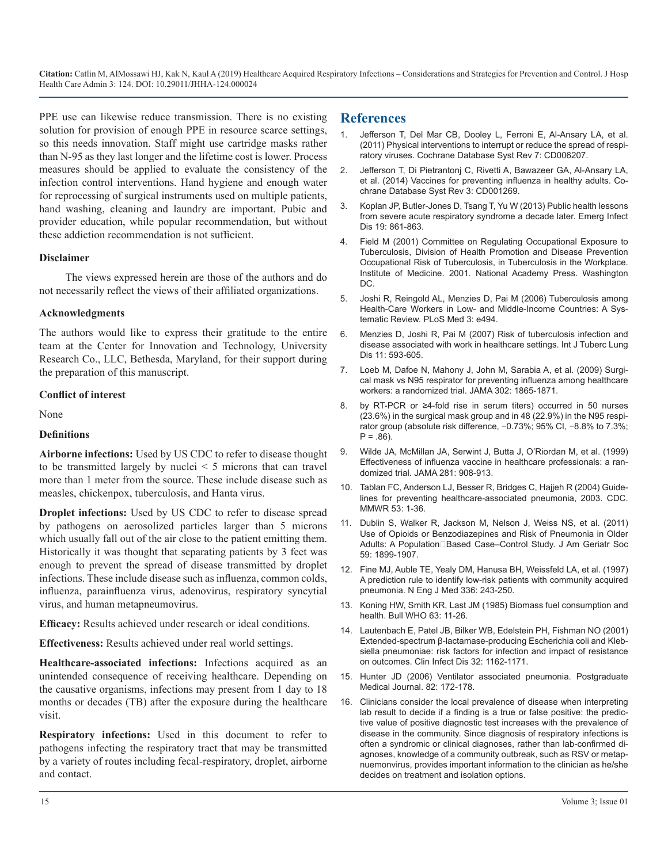PPE use can likewise reduce transmission. There is no existing solution for provision of enough PPE in resource scarce settings, [so this needs innovation. Staff might use cartridge masks rather](https://www.ncbi.nlm.nih.gov/pubmed/21735402)  than N-95 as they last longer and the lifetime cost is lower. Process measures should be applied to evaluate the consistency of the [infection control interventions. Hand hygiene and enough water](https://www.ncbi.nlm.nih.gov/pubmed/24623315)  for reprocessing of surgical instruments used on multiple patients, hand washing, cleaning and laundry are important. Pubic and provider education, while popular recommendation, but without these addiction recommendation is not sufficient.

#### **Disclaimer**

The views expressed herein are those of the authors and do not necessarily reflect the views of their affiliated organizations.

#### **Acknowledgments**

The authors would like to express their gratitude to the entire [team at the Center for Innovation and Technology, University](https://www.ncbi.nlm.nih.gov/pubmed/17519089)  Research Co., LLC, Bethesda, Maryland, for their support during the preparation of this manuscript.

#### **Conflict of interest**

None

#### **Definitions**

**Airborne infections:** Used by US CDC to refer to disease thought to be transmitted largely by nuclei < 5 microns that can travel more than 1 meter from the source. These include disease such as measles, chickenpox, tuberculosis, and Hanta virus.

**Droplet infections:** Used by US CDC to refer to disease spread by pathogens on aerosolized particles larger than 5 microns which usually fall out of the air close to the patient emitting them. Historically it was thought that separating patients by 3 feet was enough to prevent the spread of disease transmitted by droplet [infections. These include disease such as influenza, common colds,](https://www.ncbi.nlm.nih.gov/pubmed/8995086)  influenza, parainfluenza virus, adenovirus, respiratory syncytial virus, and human metapneumovirus.

**Efficacy:** Results achieved under research or ideal conditions.

**Effectiveness:** Results achieved under real world settings.

**Healthcare-associated infections:** Infections acquired as an unintended consequence of receiving healthcare. Depending on [the causative organisms, infections may present from 1 day to 18](https://pmj.bmj.com/content/82/965/172.info)  months or decades (TB) after the exposure during the healthcare visit.

**Respiratory infections:** Used in this document to refer to pathogens infecting the respiratory tract that may be transmitted by a variety of routes including fecal-respiratory, droplet, airborne and contact.

#### **References**

- 1. [Jefferson T, Del Mar CB, Dooley L, Ferroni E, Al-Ansary LA, et al.](https://www.ncbi.nlm.nih.gov/pubmed/21735402) (2011) Physical interventions to interrupt or reduce the spread of respi[ratory viruses. Cochrane Database Syst Rev 7: CD006207.](https://www.ncbi.nlm.nih.gov/pubmed/21735402)
- 2. [Jefferson T, Di Pietrantonj C, Rivetti A, Bawazeer GA, Al-Ansary LA,](https://www.ncbi.nlm.nih.gov/pubmed/24623315)  et al. (2014) Vaccines for preventing influenza in healthy adults. Co[chrane Database Syst Rev 3: CD001269.](https://www.ncbi.nlm.nih.gov/pubmed/24623315)
- 3. [Koplan JP, Butler-Jones D, Tsang T, Yu W \(2013\) Public health lessons](https://www.ncbi.nlm.nih.gov/pubmed/23739634)  [from severe acute respiratory syndrome a decade later. Emerg Infect](https://www.ncbi.nlm.nih.gov/pubmed/23739634)  [Dis 19: 861-863.](https://www.ncbi.nlm.nih.gov/pubmed/23739634)
- 4. [Field M \(2001\) Committee on Regulating Occupational Exposure to](https://www.nap.edu/download.php?record_id=10045) [Tuberculosis, Division of Health Promotion and Disease Prevention](https://www.nap.edu/download.php?record_id=10045)  [Occupational Risk of Tuberculosis, in Tuberculosis in the Workplace.](https://www.nap.edu/download.php?record_id=10045)  [Institute of Medicine. 2001. National Academy Press. Washington](https://www.nap.edu/download.php?record_id=10045)  [DC.](https://www.nap.edu/download.php?record_id=10045)
- 5. [Joshi R, Reingold AL, Menzies D, Pai M \(2006\) Tuberculosis among](https://www.ncbi.nlm.nih.gov/pubmed/17194191)  [Health-Care Workers in Low- and Middle-Income Countries: A Sys](https://www.ncbi.nlm.nih.gov/pubmed/17194191)[tematic Review. PLoS Med 3: e494.](https://www.ncbi.nlm.nih.gov/pubmed/17194191)
- 6. [Menzies D, Joshi R, Pai M \(2007\) Risk of tuberculosis infection and](https://www.ncbi.nlm.nih.gov/pubmed/17519089)  disease associated with work in healthcare settings. Int J Tuberc Lung [Dis 11: 593-605.](https://www.ncbi.nlm.nih.gov/pubmed/17519089)
- 7. Loeb M, Dafoe N, Mahony J, John M, Sarabia A, et al. (2009) Surgical mask vs N95 respirator for preventing influenza among healthcare workers: a randomized trial. JAMA 302: 1865-1871.
- 8. by RT-PCR or ≥4-fold rise in serum titers) occurred in 50 nurses (23.6%) in the surgical mask group and in 48 (22.9%) in the N95 respirator group (absolute risk difference, −0.73%; 95% CI, −8.8% to 7.3%;  $P = .86$ ).
- 9. [Wilde JA, McMillan JA, Serwint J, Butta J, O'Riordan M, et al. \(1999\)](https://www.ncbi.nlm.nih.gov/pubmed/10078487)  [Effectiveness of influenza vaccine in healthcare professionals: a ran](https://www.ncbi.nlm.nih.gov/pubmed/10078487)[domized trial. JAMA 281: 908-913.](https://www.ncbi.nlm.nih.gov/pubmed/10078487)
- 10. [Tablan FC, Anderson LJ, Besser R, Bridges C, Hajjeh R \(2004\) Guide](https://www.cdc.gov/mmwr/preview/mmwrhtml/rr5303a1.htm)[lines for preventing healthcare-associated pneumonia, 2003. CDC.](https://www.cdc.gov/mmwr/preview/mmwrhtml/rr5303a1.htm)  [MMWR 53: 1-36.](https://www.cdc.gov/mmwr/preview/mmwrhtml/rr5303a1.htm)
- 11. [Dublin S, Walker R, Jackson M, Nelson J, Weiss NS, et al. \(2011\)](https://www.ncbi.nlm.nih.gov/pubmed/22091503)  [Use of Opioids or Benzodiazepines and Risk of Pneumonia in Older](https://www.ncbi.nlm.nih.gov/pubmed/22091503)  Adults: A Population□Based Case-Control Study. J Am Geriatr Soc [59: 1899-1907.](https://www.ncbi.nlm.nih.gov/pubmed/22091503)
- 12. [Fine MJ, Auble TE, Yealy DM, Hanusa BH, Weissfeld LA, et al. \(1997\)](https://www.ncbi.nlm.nih.gov/pubmed/8995086)  A prediction rule to identify low-risk patients with community acquired [pneumonia. N Eng J Med 336: 243-250.](https://www.ncbi.nlm.nih.gov/pubmed/8995086)
- 13. [Koning HW, Smith KR, Last JM \(1985\) Biomass fuel consumption and](https://www.ncbi.nlm.nih.gov/pmc/articles/PMC2536350/)  [health. Bull WHO 63: 11-26.](https://www.ncbi.nlm.nih.gov/pmc/articles/PMC2536350/)
- 14. [Lautenbach E, Patel JB, Bilker WB, Edelstein PH, Fishman NO \(2001\)](https://www.ncbi.nlm.nih.gov/pubmed/11283805) [Extended-spectrum β-lactamase-producing Escherichia coli and Kleb](https://www.ncbi.nlm.nih.gov/pubmed/11283805)[siella pneumoniae: risk factors for infection and impact of resistance](https://www.ncbi.nlm.nih.gov/pubmed/11283805)  [on outcomes. Clin Infect Dis 32: 1162-1171.](https://www.ncbi.nlm.nih.gov/pubmed/11283805)
- 15. [Hunter JD \(2006\) Ventilator associated pneumonia. Postgraduate](https://pmj.bmj.com/content/82/965/172.info)  Medical Journal. 82: 172-178.
- 16. Clinicians consider the local prevalence of disease when interpreting lab result to decide if a finding is a true or false positive: the predictive value of positive diagnostic test increases with the prevalence of disease in the community. Since diagnosis of respiratory infections is often a syndromic or clinical diagnoses, rather than lab-confirmed diagnoses, knowledge of a community outbreak, such as RSV or metapnuemonvirus, provides important information to the clinician as he/she decides on treatment and isolation options.